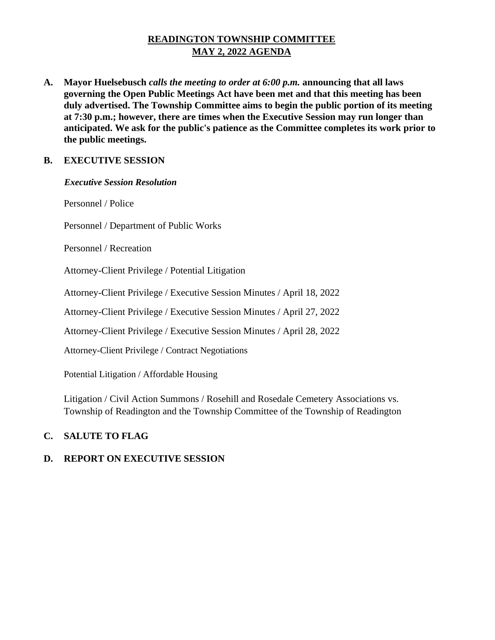# **READINGTON TOWNSHIP COMMITTEE MAY 2, 2022 AGENDA**

**A. Mayor Huelsebusch** *calls the meeting to order at 6:00 p.m.* **announcing that all laws governing the Open Public Meetings Act have been met and that this meeting has been duly advertised. The Township Committee aims to begin the public portion of its meeting at 7:30 p.m.; however, there are times when the Executive Session may run longer than anticipated. We ask for the public's patience as the Committee completes its work prior to the public meetings.**

# **B. EXECUTIVE SESSION**

### *Executive Session Resolution*

Personnel / Police

Personnel / Department of Public Works

Personnel / Recreation

Attorney-Client Privilege / Potential Litigation

Attorney-Client Privilege / Executive Session Minutes / April 18, 2022

Attorney-Client Privilege / Executive Session Minutes / April 27, 2022

Attorney-Client Privilege / Executive Session Minutes / April 28, 2022

Attorney-Client Privilege / Contract Negotiations

Potential Litigation / Affordable Housing

Litigation / Civil Action Summons / Rosehill and Rosedale Cemetery Associations vs. Township of Readington and the Township Committee of the Township of Readington

# **C. SALUTE TO FLAG**

# **D. REPORT ON EXECUTIVE SESSION**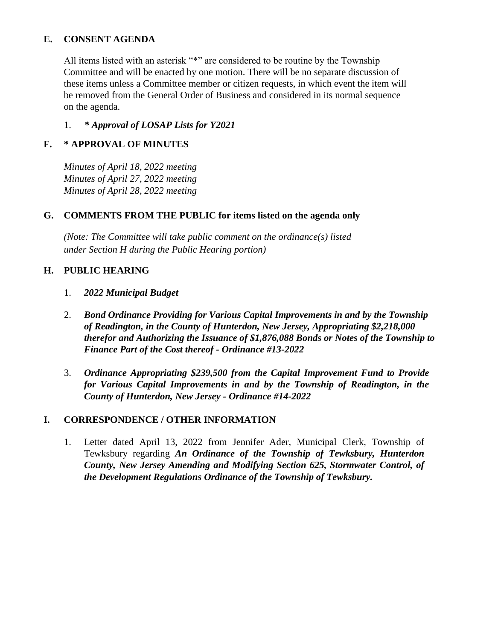## **E. CONSENT AGENDA**

All items listed with an asterisk "\*" are considered to be routine by the Township Committee and will be enacted by one motion. There will be no separate discussion of these items unless a Committee member or citizen requests, in which event the item will be removed from the General Order of Business and considered in its normal sequence on the agenda.

## 1. *\* Approval of LOSAP Lists for Y2021*

# **F. \* APPROVAL OF MINUTES**

*Minutes of April 18, 2022 meeting Minutes of April 27, 2022 meeting Minutes of April 28, 2022 meeting* 

# **G. COMMENTS FROM THE PUBLIC for items listed on the agenda only**

*(Note: The Committee will take public comment on the ordinance(s) listed under Section H during the Public Hearing portion)*

### **H. PUBLIC HEARING**

- 1. *2022 Municipal Budget*
- 2. *Bond Ordinance Providing for Various Capital Improvements in and by the Township of Readington, in the County of Hunterdon, New Jersey, Appropriating \$2,218,000 therefor and Authorizing the Issuance of \$1,876,088 Bonds or Notes of the Township to Finance Part of the Cost thereof - Ordinance #13-2022*
- 3. *Ordinance Appropriating \$239,500 from the Capital Improvement Fund to Provide for Various Capital Improvements in and by the Township of Readington, in the County of Hunterdon, New Jersey - Ordinance #14-2022*

# **I. CORRESPONDENCE / OTHER INFORMATION**

1. Letter dated April 13, 2022 from Jennifer Ader, Municipal Clerk, Township of Tewksbury regarding *An Ordinance of the Township of Tewksbury, Hunterdon County, New Jersey Amending and Modifying Section 625, Stormwater Control, of the Development Regulations Ordinance of the Township of Tewksbury.*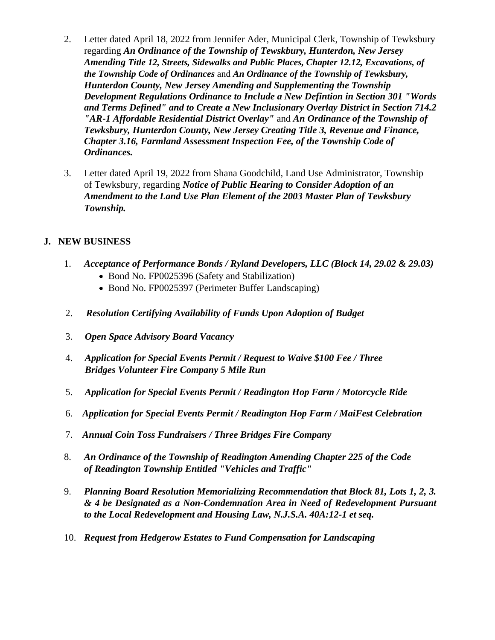- 2. Letter dated April 18, 2022 from Jennifer Ader, Municipal Clerk, Township of Tewksbury regarding *An Ordinance of the Township of Tewskbury, Hunterdon, New Jersey Amending Title 12, Streets, Sidewalks and Public Places, Chapter 12.12, Excavations, of the Township Code of Ordinances* and *An Ordinance of the Township of Tewksbury, Hunterdon County, New Jersey Amending and Supplementing the Township Development Regulations Ordinance to Include a New Defintion in Section 301 "Words and Terms Defined" and to Create a New Inclusionary Overlay District in Section 714.2 "AR-1 Affordable Residential District Overlay"* and *An Ordinance of the Township of Tewksbury, Hunterdon County, New Jersey Creating Title 3, Revenue and Finance, Chapter 3.16, Farmland Assessment Inspection Fee, of the Township Code of Ordinances.*
- 3. Letter dated April 19, 2022 from Shana Goodchild, Land Use Administrator, Township of Tewksbury, regarding *Notice of Public Hearing to Consider Adoption of an Amendment to the Land Use Plan Element of the 2003 Master Plan of Tewksbury Township.*

# **J. NEW BUSINESS**

- 1. *Acceptance of Performance Bonds / Ryland Developers, LLC (Block 14, 29.02 & 29.03)*
	- Bond No. FP0025396 (Safety and Stabilization)
	- Bond No. FP0025397 (Perimeter Buffer Landscaping)
- 2. *Resolution Certifying Availability of Funds Upon Adoption of Budget*
- 3. *Open Space Advisory Board Vacancy*
- 4. *Application for Special Events Permit / Request to Waive \$100 Fee / Three Bridges Volunteer Fire Company 5 Mile Run*
- 5. *Application for Special Events Permit / Readington Hop Farm / Motorcycle Ride*
- 6. *Application for Special Events Permit / Readington Hop Farm / MaiFest Celebration*
- 7. *Annual Coin Toss Fundraisers / Three Bridges Fire Company*
- 8. *An Ordinance of the Township of Readington Amending Chapter 225 of the Code of Readington Township Entitled "Vehicles and Traffic"*
- 9. *Planning Board Resolution Memorializing Recommendation that Block 81, Lots 1, 2, 3. & 4 be Designated as a Non-Condemnation Area in Need of Redevelopment Pursuant to the Local Redevelopment and Housing Law, N.J.S.A. 40A:12-1 et seq.*
- 10. *Request from Hedgerow Estates to Fund Compensation for Landscaping*